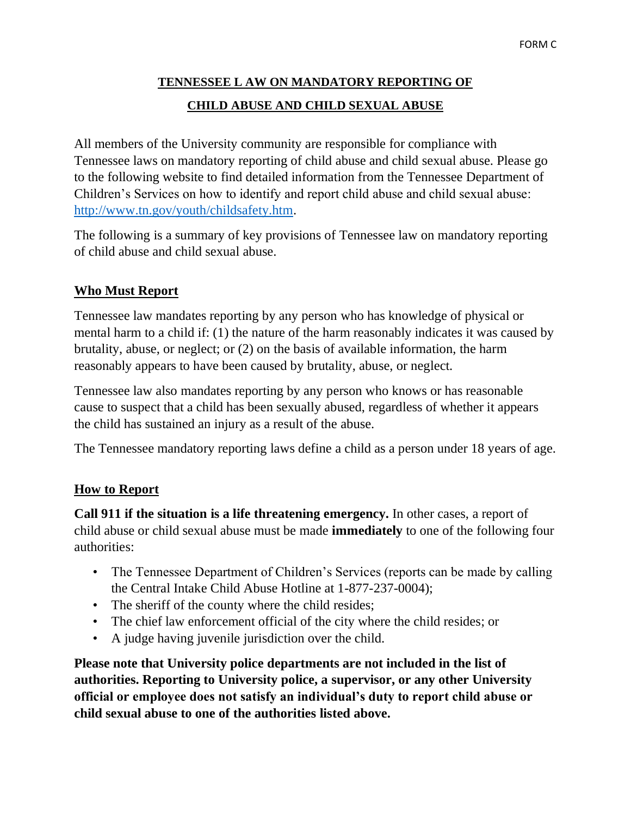# **TENNESSEE L AW ON MANDATORY REPORTING OF CHILD ABUSE AND CHILD SEXUAL ABUSE**

All members of the University community are responsible for compliance with Tennessee laws on mandatory reporting of child abuse and child sexual abuse. Please go to the following website to find detailed information from the Tennessee Department of Children's Services on how to identify and report child abuse and child sexual abuse: [http://www.tn.gov/youth/childsafety.htm.](http://www.tn.gov/youth/childsafety.htm)

The following is a summary of key provisions of Tennessee law on mandatory reporting of child abuse and child sexual abuse.

# **Who Must Report**

Tennessee law mandates reporting by any person who has knowledge of physical or mental harm to a child if: (1) the nature of the harm reasonably indicates it was caused by brutality, abuse, or neglect; or (2) on the basis of available information, the harm reasonably appears to have been caused by brutality, abuse, or neglect.

Tennessee law also mandates reporting by any person who knows or has reasonable cause to suspect that a child has been sexually abused, regardless of whether it appears the child has sustained an injury as a result of the abuse.

The Tennessee mandatory reporting laws define a child as a person under 18 years of age.

### **How to Report**

**Call 911 if the situation is a life threatening emergency.** In other cases, a report of child abuse or child sexual abuse must be made **immediately** to one of the following four authorities:

- The Tennessee Department of Children's Services (reports can be made by calling the Central Intake Child Abuse Hotline at 1-877-237-0004);
- The sheriff of the county where the child resides;
- The chief law enforcement official of the city where the child resides; or
- A judge having juvenile jurisdiction over the child.

**Please note that University police departments are not included in the list of authorities. Reporting to University police, a supervisor, or any other University official or employee does not satisfy an individual's duty to report child abuse or child sexual abuse to one of the authorities listed above.**